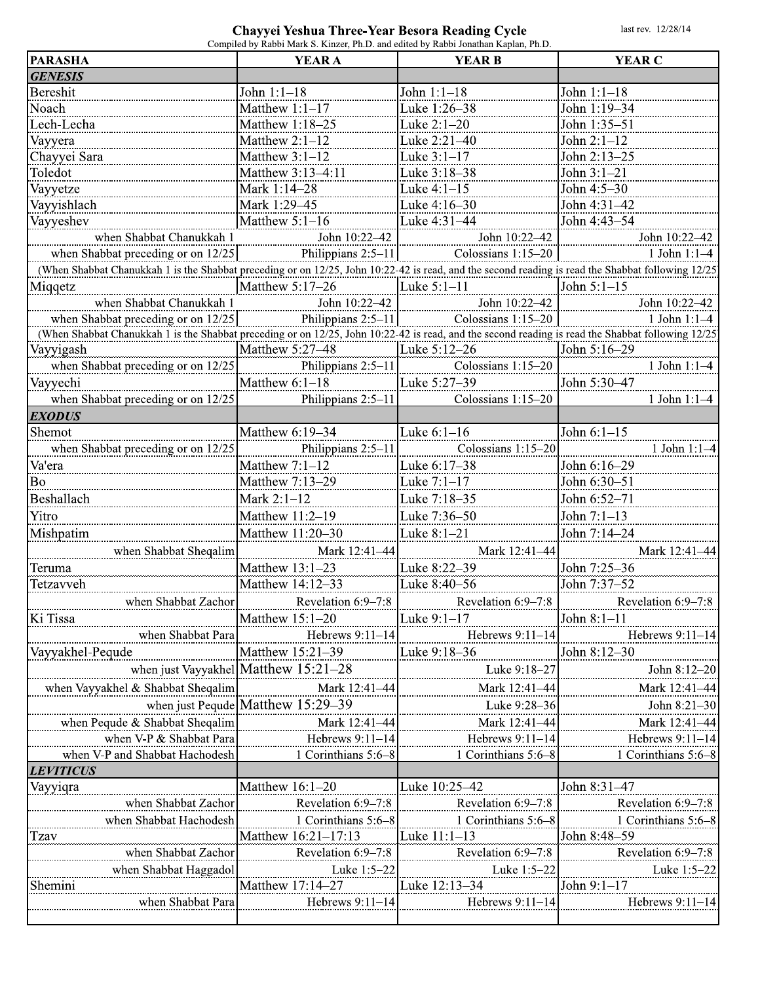## Chayyei Yeshua Three-Year Besora Reading Cycle

last rev. 12/28/14

| <b>PARASHA</b>                                                                                                                                                                                                                                               | Compiled by Rabbi Mark S. Kinzer, Ph.D. and edited by Rabbi Jonathan Kaplan, Ph.D.<br><b>YEAR A</b> | <b>YEAR B</b>                                                                 | <b>YEAR C</b>                        |
|--------------------------------------------------------------------------------------------------------------------------------------------------------------------------------------------------------------------------------------------------------------|-----------------------------------------------------------------------------------------------------|-------------------------------------------------------------------------------|--------------------------------------|
| <b>GENESIS</b>                                                                                                                                                                                                                                               |                                                                                                     |                                                                               |                                      |
| Bereshit                                                                                                                                                                                                                                                     | John 1:1-18                                                                                         | John 1:1-18                                                                   | John $1:1-18$                        |
| Noach                                                                                                                                                                                                                                                        | Matthew $1:1-17$                                                                                    | <b>Luke</b> 1:26-38                                                           | John 1:19-34                         |
| Lech-Lecha                                                                                                                                                                                                                                                   | Matthew 1:18-25                                                                                     | Luke $2:1-20$                                                                 | John 1:35-51                         |
|                                                                                                                                                                                                                                                              | Matthew $2:1-12$                                                                                    | $\mu$ uke 2:21–40                                                             | John $2:1-12$                        |
| Vayyera                                                                                                                                                                                                                                                      | Matthew $3:1-12$                                                                                    | $\mu$ uke 3:1–17                                                              | John 2:13-25                         |
| Chayyei Sara<br>Toledot                                                                                                                                                                                                                                      | Matthew 3:13-4:11                                                                                   | $\frac{1}{2}$ Luke 3:18–38                                                    | John 3:1-21                          |
|                                                                                                                                                                                                                                                              | Mark 1:14-28                                                                                        | $\mu$ uke 4:1–15                                                              | John 4:5-30                          |
| Vayyetze                                                                                                                                                                                                                                                     |                                                                                                     |                                                                               |                                      |
| Vayyishlach<br>Mark 1:29-45<br>And Sayyishlach<br>Mark 1:29-45<br>When Shabbat Chanukkah 1<br>When Shabbat Chanukkah 1<br>When Shabbat Chanukkah 1 is the Shabbat preceding or on 12/25<br>When Shabbat Chanukkah 1 is the Shabbat preceding or on 12/25<br> |                                                                                                     |                                                                               |                                      |
| Vayyeshev                                                                                                                                                                                                                                                    |                                                                                                     |                                                                               |                                      |
|                                                                                                                                                                                                                                                              |                                                                                                     |                                                                               |                                      |
|                                                                                                                                                                                                                                                              |                                                                                                     |                                                                               |                                      |
|                                                                                                                                                                                                                                                              |                                                                                                     |                                                                               |                                      |
| Miqqetz                                                                                                                                                                                                                                                      |                                                                                                     |                                                                               |                                      |
| when Shabbat Chanukkah 1 John 10:22-42 John 10:22-42 John 10:22-42<br>when Shabbat preceding or on 12/25 Philippians 2:5-11 Bluessians 1:15-20 John 11:1-4                                                                                                   |                                                                                                     |                                                                               |                                      |
|                                                                                                                                                                                                                                                              |                                                                                                     |                                                                               |                                      |
| When Shabbat Chanukkah 1 is the Shabbat preceding or on 12/25, John 10:22-42 is read, and the second reading is read the Shabbat following 12/25<br>Ayyigash Matthew 5:27-48 [Matthew 5:27-48 [Matthew 5:12-26 ]John 5:16-29                                 |                                                                                                     |                                                                               |                                      |
| Vayyigash                                                                                                                                                                                                                                                    |                                                                                                     |                                                                               |                                      |
| when Shabbat preceding or on $12/25$ Philippians 2:5-11 $\frac{1}{10}$ Colossians 1:15-20                                                                                                                                                                    |                                                                                                     |                                                                               | 1 John $1:1-4$                       |
| Vayyechi                                                                                                                                                                                                                                                     | Matthew 6:1-18<br>Philippians 2:5-11<br>$\frac{1}{2}$ Tuke 5:27-39<br>Colossians 1:15-20            |                                                                               | John 5:30-47                         |
| when Shabbat preceding or on $12/25$                                                                                                                                                                                                                         |                                                                                                     | Colossians 1:15-20                                                            | 1 John $1:1-4$                       |
| <b>EXODUS</b>                                                                                                                                                                                                                                                |                                                                                                     |                                                                               |                                      |
| Shemot                                                                                                                                                                                                                                                       | Matthew 6:19-34                                                                                     | Luke $6:1-16$                                                                 | John $6:1-15$                        |
| when Shabbat preceding or on $12/25$                                                                                                                                                                                                                         |                                                                                                     | Philippians 2:5-11 Colossians 1:15-20                                         | 1 John $1:1-4$                       |
| Va'era                                                                                                                                                                                                                                                       | Matthew $7:1-12$                                                                                    | Huke 6:17-38                                                                  | John 6:16-29                         |
| Bo                                                                                                                                                                                                                                                           | Matthew 7:13-29                                                                                     | $\mathbb{L}$ uke 7:1–17                                                       | John 6:30-51                         |
| Beshallach <b>mental and allegate</b>                                                                                                                                                                                                                        |                                                                                                     |                                                                               | : tohn: 6:52 = 7:1:::::::::::::::::: |
| Yitro                                                                                                                                                                                                                                                        | Matthew 11:2-19                                                                                     | Wuke 7:36-50                                                                  | John 7:1-13                          |
| Mishpatim                                                                                                                                                                                                                                                    | Matthew 11:20-30                                                                                    | $\mu$ uke 8:1–21                                                              | John 7:14-24                         |
| when Shabbat Sheqalim                                                                                                                                                                                                                                        |                                                                                                     |                                                                               | Mark 12:41-44                        |
| Teruma                                                                                                                                                                                                                                                       | Matthew $13:1-23$                                                                                   | Mark 12:41-44<br>$\begin{bmatrix} 12.41-44 \\ 23 \end{bmatrix}$ Mark 12:41-44 | John 7:25-36                         |
| Tetzavveh                                                                                                                                                                                                                                                    | Matthew 14:12-33                                                                                    |                                                                               | John 7:37-52                         |
|                                                                                                                                                                                                                                                              |                                                                                                     | Tuke 8:40-56                                                                  |                                      |
| when Shabbat Zachor                                                                                                                                                                                                                                          | Revelation $6:9-7:8$                                                                                | Revelation 6:9-7:8                                                            | Revelation 6:9–7:8                   |
| Ki Tissa                                                                                                                                                                                                                                                     | Matthew $15:1-20$                                                                                   | "Luke 9:1–17                                                                  | John $8:1-11$                        |
| when Shabbat Para                                                                                                                                                                                                                                            | Hebrews $9:11-14$                                                                                   | Hebrews 9:11-14                                                               | Hebrews 9:11-14                      |
| Vayyakhel-Pequde                                                                                                                                                                                                                                             | Matthew 15:21-39                                                                                    | $\frac{1}{2}$ uke 9:18–36                                                     | John 8:12-30                         |
|                                                                                                                                                                                                                                                              | when just Vayyakhel Matthew 15:21-28                                                                | Luke 9:18-27                                                                  | John 8:12-20                         |
| when Vayyakhel & Shabbat Sheqalim                                                                                                                                                                                                                            | Mark 12:41-44                                                                                       | Mark 12:41-44                                                                 | Mark 12:41-44                        |
|                                                                                                                                                                                                                                                              | when just Pequde   Matthew 15:29-39                                                                 | Luke 9:28-36                                                                  | John 8:21-30                         |
| when Pequde & Shabbat Sheqalim                                                                                                                                                                                                                               |                                                                                                     | Mark 12:41-44                                                                 | Mark 12:41-44                        |
| when V-P $&$ Shabbat Para                                                                                                                                                                                                                                    | $\frac{\text{Mark } 12:41-44}{\text{Hebrews } 9:11-14}$                                             | Hebrews 9:11-14                                                               | Hebrews 9:11-14                      |
| when V-P and Shabbat Hachodesh                                                                                                                                                                                                                               | $1$ Corinthians 5:6–8                                                                               | 1 Corinthians 5:6-8                                                           | 1 Corinthians 5:6-8                  |
| <b>LEVITICUS</b>                                                                                                                                                                                                                                             |                                                                                                     |                                                                               |                                      |
| Vayyiqra                                                                                                                                                                                                                                                     |                                                                                                     |                                                                               | :Iohn:8:3:1 <del>:::4</del> 7::::::: |
| when Shabbat Zachor                                                                                                                                                                                                                                          | Revelation 6:9-7:8                                                                                  | Revelation 6:9-7:8                                                            | Revelation 6:9-7:8                   |
| when Shabbat Hachodesh                                                                                                                                                                                                                                       | 1 Corinthians 5:6-8                                                                                 | 1 Corinthians 5:6-8                                                           | 1 Corinthians 5:6-8                  |
| Tzav                                                                                                                                                                                                                                                         | Matthew 16:21-17:13                                                                                 | <b>Euke</b> 11:1–13                                                           | John 8:48-59                         |
| when Shabbat Zachor                                                                                                                                                                                                                                          | Revelation 6:9-7:8                                                                                  | Revelation 6:9-7:8                                                            | Revelation 6:9-7:8                   |
|                                                                                                                                                                                                                                                              |                                                                                                     |                                                                               |                                      |
| when Shabbat Haggadol                                                                                                                                                                                                                                        | Luke 1:5-22                                                                                         | Luke 1:5-22                                                                   | Luke 1:5-22                          |
| Shemini                                                                                                                                                                                                                                                      | Matthew 17:14-27                                                                                    |                                                                               | John 9:1-17                          |
|                                                                                                                                                                                                                                                              |                                                                                                     |                                                                               |                                      |
| when Shabbat Para                                                                                                                                                                                                                                            | Hebrews $9:11-14$                                                                                   | Hebrews $9:11-14$                                                             | Hebrews 9:11-14                      |